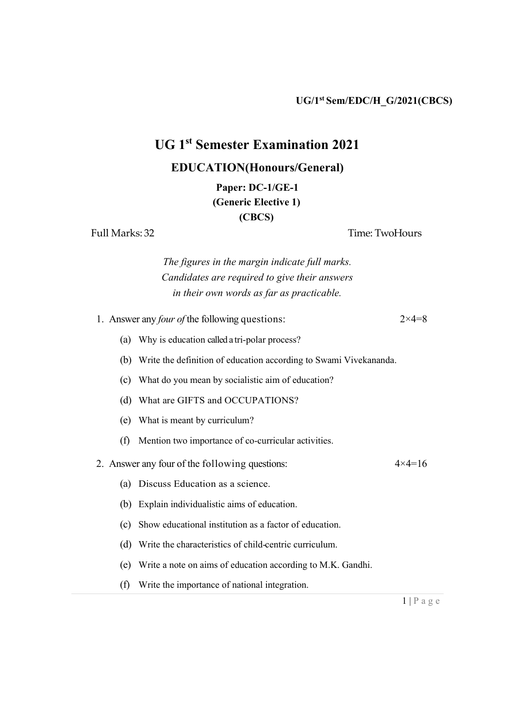## UG 1st Semester Examination 2021

## EDUCATION(**Honours/**General)

Paper: DC-1/GE-1 (Generic Elective 1) (CBCS)

Full Marks: 32 Time: TwoHours

The figures in the margin indicate full marks. Candidates are required to give their answers in their own words as far as practicable.

1. Answer any *four of* the following questions:  $2 \times 4 = 8$ (a) Why is education called a tri-polar process? (b) Write the definition of education according to Swami Vivekananda. (c) What do you mean by socialistic aim of education? (d) What are GIFTS and OCCUPATIONS? (e) What is meant by curriculum? (f) Mention two importance of co-curricular activities. 2. Answer any four of the following questions:  $4 \times 4 = 16$ (a) Discuss Education as a science. (b) Explain individualistic aims of education. (c) Show educational institution as a factor of education. (d) Write the characteristics of child-centric curriculum. (e) Write a note on aims of education according to M.K. Gandhi. (f) Write the importance of national integration.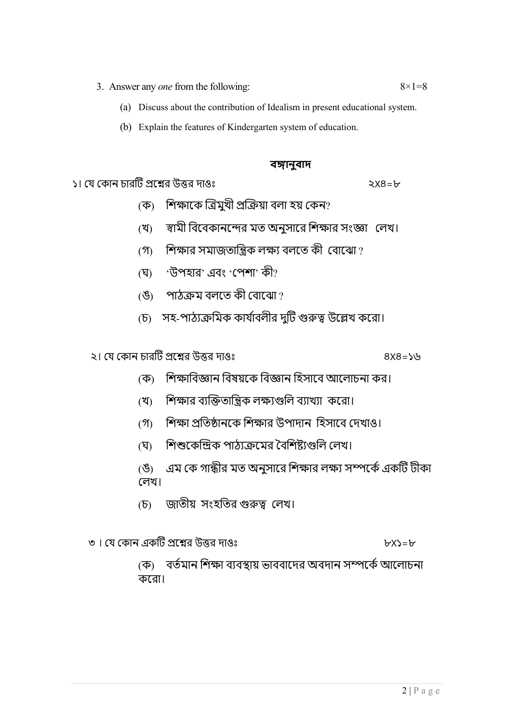- 3. Answer any *one* from the following:  $8 \times 1 = 8$ 
	- (a) Discuss about the contribution of Idealism in present educational system.
	- (b) Explain the features of Kindergarten system of education.

## বঙ্গানুবাদ

১। έয έকান চারΜট ϕেѨর উЫর দাওঃ ২X৪=৮

- (ক) শিক্ষাকে ত্রিমুখী প্রক্রিয়া বলা হয় কেন?
- (খ) স্বামী বিবেকানন্দের মত অনুসারে শিক্ষার সংজ্ঞা লেখ।
- $(3)$  শিক্ষার সমাজতান্ত্রিক লক্ষ্য বলতে কী বোঝাে?
- (ঘ) 'উপহার' এবং 'পেশা' কী?
- (ঙ) পাঠক্ৰম বলতে কী বোঝো?
- (চ) সহ-পাঠ্যক্রমিক কার্যাবলীর দুটি গুরুত্ব উল্লেখ করো।

২। έয έকান চারΜট ϕেѨর উЫর দাওঃ ৪X৪=১৬

- (ক) শিক্ষাবিজ্ঞান বিষয়কে বিজ্ঞান হিসাবে আলোচনা কর।
- (খ) শিক্ষার ব্যক্তিতান্ত্রিক লক্ষ্যগুলি ব্যাখ্যা করো।
- (গ) শিক্ষা প্রতিষ্ঠানকে শিক্ষার উপাদান হিসাবে দেখাও।
- (ঘ) শিশুকেন্দ্রিক পাঠ্যক্রমের বৈশিষ্ট্যগুলি লেখ।
- (ঙ) এম কে গান্ধীর মত অনুসারে শিক্ষার লক্ষ্য সম্পর্কে একটি টীকা έলখ।
- (চ) জাতীয় সংহতির গুরুত্ব লেখ।
- ৩ । έয έকান একΜট ϕেѨর উЫর দাওঃ ৮X১=৮

(ক) বর্তমান শিক্ষা ব্যবস্থায় ভাববাদের অবদান সম্পর্কে আলোচনা কেরা।